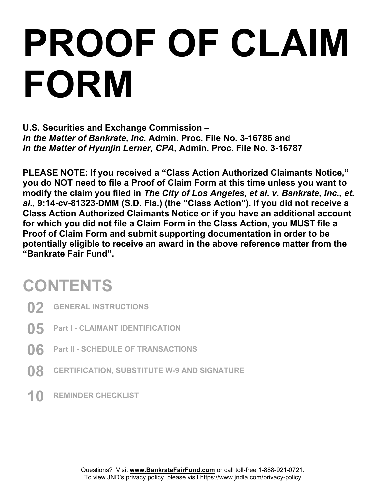# PROOF OF CLAIM FORM

U.S. Securities and Exchange Commission – In the Matter of Bankrate, Inc. Admin. Proc. File No. 3-16786 and In the Matter of Hyunjin Lerner, CPA, Admin. Proc. File No. 3-16787

PLEASE NOTE: If you received a "Class Action Authorized Claimants Notice," you do NOT need to file a Proof of Claim Form at this time unless you want to modify the claim you filed in The City of Los Angeles, et al. v. Bankrate, Inc., et. al., 9:14-cv-81323-DMM (S.D. Fla.) (the "Class Action"). If you did not receive a Class Action Authorized Claimants Notice or if you have an additional account for which you did not file a Claim Form in the Class Action, you MUST file a Proof of Claim Form and submit supporting documentation in order to be potentially eligible to receive an award in the above reference matter from the "Bankrate Fair Fund".

## **CONTENTS**

- 02 GENERAL INSTRUCTIONS
- 05 Part I CLAIMANT IDENTIFICATION
- 06 Part II SCHEDULE OF TRANSACTIONS
- **08 CERTIFICATION, SUBSTITUTE W-9 AND SIGNATURE**
- 10 REMINDER CHECKLIST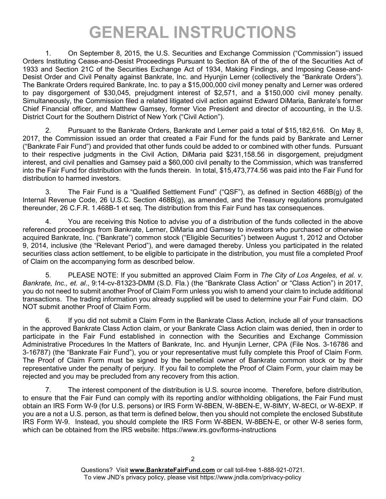## GENERAL INSTRUCTIONS

1. On September 8, 2015, the U.S. Securities and Exchange Commission ("Commission") issued Orders Instituting Cease-and-Desist Proceedings Pursuant to Section 8A of the of the of the Securities Act of 1933 and Section 21C of the Securities Exchange Act of 1934, Making Findings, and Imposing Cease-and-Desist Order and Civil Penalty against Bankrate, Inc. and Hyunjin Lerner (collectively the "Bankrate Orders"). The Bankrate Orders required Bankrate, Inc. to pay a \$15,000,000 civil money penalty and Lerner was ordered to pay disgorgement of \$30,045, prejudgment interest of \$2,571, and a \$150,000 civil money penalty. Simultaneously, the Commission filed a related litigated civil action against Edward DiMaria, Bankrate's former Chief Financial officer, and Matthew Gamsey, former Vice President and director of accounting, in the U.S. District Court for the Southern District of New York ("Civil Action").

2. Pursuant to the Bankrate Orders, Bankrate and Lerner paid a total of \$15,182,616. On May 8, 2017, the Commission issued an order that created a Fair Fund for the funds paid by Bankrate and Lerner ("Bankrate Fair Fund") and provided that other funds could be added to or combined with other funds. Pursuant to their respective judgments in the Civil Action, DiMaria paid \$231,158.56 in disgorgement, prejudgment interest, and civil penalties and Gamsey paid a \$60,000 civil penalty to the Commission, which was transferred into the Fair Fund for distribution with the funds therein. In total, \$15,473,774.56 was paid into the Fair Fund for distribution to harmed investors.

3. The Fair Fund is a "Qualified Settlement Fund" ("QSF"), as defined in Section 468B(g) of the Internal Revenue Code, 26 U.S.C. Section 468B(g), as amended, and the Treasury regulations promulgated thereunder, 26 C.F.R. 1.468B-1 et seq. The distribution from this Fair Fund has tax consequences.

4. You are receiving this Notice to advise you of a distribution of the funds collected in the above referenced proceedings from Bankrate, Lerner, DiMaria and Gamsey to investors who purchased or otherwise acquired Bankrate, Inc. ("Bankrate") common stock ("Eligible Securities") between August 1, 2012 and October 9, 2014, inclusive (the "Relevant Period"), and were damaged thereby. Unless you participated in the related securities class action settlement, to be eligible to participate in the distribution, you must file a completed Proof of Claim on the accompanying form as described below.

5. PLEASE NOTE: If you submitted an approved Claim Form in The City of Los Angeles, et al. v. Bankrate, Inc., et. al., 9:14-cv-81323-DMM (S.D. Fla.) (the "Bankrate Class Action" or "Class Action") in 2017, you do not need to submit another Proof of Claim Form unless you wish to amend your claim to include additional transactions. The trading information you already supplied will be used to determine your Fair Fund claim. DO NOT submit another Proof of Claim Form.

6. If you did not submit a Claim Form in the Bankrate Class Action, include all of your transactions in the approved Bankrate Class Action claim, or your Bankrate Class Action claim was denied, then in order to participate in the Fair Fund established in connection with the Securities and Exchange Commission Administrative Procedures In the Matters of Bankrate, Inc. and Hyunjin Lerner, CPA (File Nos. 3-16786 and 3-16787) (the "Bankrate Fair Fund"), you or your representative must fully complete this Proof of Claim Form. The Proof of Claim Form must be signed by the beneficial owner of Bankrate common stock or by their representative under the penalty of perjury. If you fail to complete the Proof of Claim Form, your claim may be rejected and you may be precluded from any recovery from this action.

7. The interest component of the distribution is U.S. source income. Therefore, before distribution, to ensure that the Fair Fund can comply with its reporting and/or withholding obligations, the Fair Fund must obtain an IRS Form W-9 (for U.S. persons) or IRS Form W-8BEN, W-8BEN-E, W-8IMY, W-8ECI, or W-8EXP. If you are a not a U.S. person, as that term is defined below, then you should not complete the enclosed Substitute IRS Form W-9. Instead, you should complete the IRS Form W-8BEN, W-8BEN-E, or other W-8 series form, which can be obtained from the IRS website: https://www.irs.gov/forms-instructions

Questions? Visit www.BankrateFairFund.com or call toll-free 1-888-921-0721. To view JND's privacy policy, please visit https://www.jndla.com/privacy-policy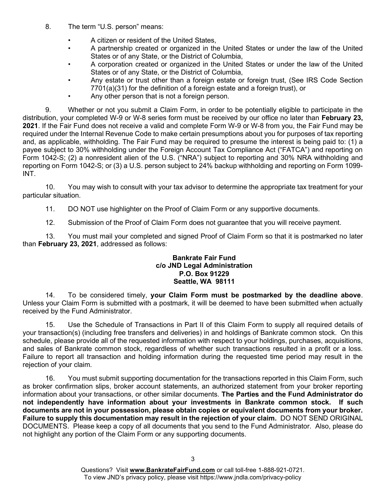- 8. The term "U.S. person" means:
	- A citizen or resident of the United States,
	- A partnership created or organized in the United States or under the law of the United States or of any State, or the District of Columbia,
	- A corporation created or organized in the United States or under the law of the United States or of any State, or the District of Columbia,
	- Any estate or trust other than a foreign estate or foreign trust, (See IRS Code Section 7701(a)(31) for the definition of a foreign estate and a foreign trust), or
	- Any other person that is not a foreign person.

9. Whether or not you submit a Claim Form, in order to be potentially eligible to participate in the distribution, your completed W-9 or W-8 series form must be received by our office no later than February 23, 2021. If the Fair Fund does not receive a valid and complete Form W-9 or W-8 from you, the Fair Fund may be required under the Internal Revenue Code to make certain presumptions about you for purposes of tax reporting and, as applicable, withholding. The Fair Fund may be required to presume the interest is being paid to: (1) a payee subject to 30% withholding under the Foreign Account Tax Compliance Act ("FATCA") and reporting on Form 1042-S; (2) a nonresident alien of the U.S. ("NRA") subject to reporting and 30% NRA withholding and reporting on Form 1042-S; or (3) a U.S. person subject to 24% backup withholding and reporting on Form 1099- INT.

10. You may wish to consult with your tax advisor to determine the appropriate tax treatment for your particular situation.

11. DO NOT use highlighter on the Proof of Claim Form or any supportive documents.

12. Submission of the Proof of Claim Form does not guarantee that you will receive payment.

13. You must mail your completed and signed Proof of Claim Form so that it is postmarked no later than February 23, 2021, addressed as follows:

#### Bankrate Fair Fund c/o JND Legal Administration P.O. Box 91229 Seattle, WA 98111

14. To be considered timely, your Claim Form must be postmarked by the deadline above. Unless your Claim Form is submitted with a postmark, it will be deemed to have been submitted when actually received by the Fund Administrator.

15. Use the Schedule of Transactions in Part II of this Claim Form to supply all required details of your transaction(s) (including free transfers and deliveries) in and holdings of Bankrate common stock. On this schedule, please provide all of the requested information with respect to your holdings, purchases, acquisitions, and sales of Bankrate common stock, regardless of whether such transactions resulted in a profit or a loss. Failure to report all transaction and holding information during the requested time period may result in the rejection of your claim.

16. You must submit supporting documentation for the transactions reported in this Claim Form, such as broker confirmation slips, broker account statements, an authorized statement from your broker reporting information about your transactions, or other similar documents. The Parties and the Fund Administrator do not independently have information about your investments in Bankrate common stock. If such documents are not in your possession, please obtain copies or equivalent documents from your broker. Failure to supply this documentation may result in the rejection of your claim. DO NOT SEND ORIGINAL DOCUMENTS. Please keep a copy of all documents that you send to the Fund Administrator. Also, please do not highlight any portion of the Claim Form or any supporting documents.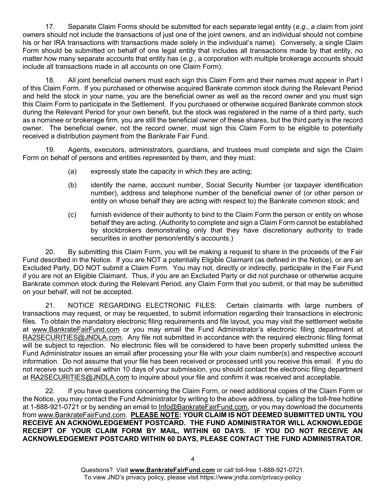17. Separate Claim Forms should be submitted for each separate legal entity (e.g., a claim from joint owners should not include the transactions of just one of the joint owners, and an individual should not combine his or her IRA transactions with transactions made solely in the individual's name). Conversely, a single Claim Form should be submitted on behalf of one legal entity that includes all transactions made by that entity, no matter how many separate accounts that entity has (e.g., a corporation with multiple brokerage accounts should include all transactions made in all accounts on one Claim Form).

18. All joint beneficial owners must each sign this Claim Form and their names must appear in Part I of this Claim Form. If you purchased or otherwise acquired Bankrate common stock during the Relevant Period and held the stock in your name, you are the beneficial owner as well as the record owner and you must sign this Claim Form to participate in the Settlement. If you purchased or otherwise acquired Bankrate common stock during the Relevant Period for your own benefit, but the stock was registered in the name of a third party, such as a nominee or brokerage firm, you are still the beneficial owner of these shares, but the third party is the record owner. The beneficial owner, not the record owner, must sign this Claim Form to be eligible to potentially received a distribution payment from the Bankrate Fair Fund.

19. Agents, executors, administrators, guardians, and trustees must complete and sign the Claim Form on behalf of persons and entities represented by them, and they must:

- (a) expressly state the capacity in which they are acting;
- (b) identify the name, account number, Social Security Number (or taxpayer identification number), address and telephone number of the beneficial owner of (or other person or entity on whose behalf they are acting with respect to) the Bankrate common stock; and
- (c) furnish evidence of their authority to bind to the Claim Form the person or entity on whose behalf they are acting. (Authority to complete and sign a Claim Form cannot be established by stockbrokers demonstrating only that they have discretionary authority to trade securities in another person/entity's accounts.)

20. By submitting this Claim Form, you will be making a request to share in the proceeds of the Fair Fund described in the Notice. If you are NOT a potentially Eligible Claimant (as defined in the Notice), or are an Excluded Party, DO NOT submit a Claim Form. You may not, directly or indirectly, participate in the Fair Fund if you are not an Eligible Claimant. Thus, if you are an Excluded Party or did not purchase or otherwise acquire Bankrate common stock during the Relevant Period, any Claim Form that you submit, or that may be submitted on your behalf, will not be accepted.

21. NOTICE REGARDING ELECTRONIC FILES: Certain claimants with large numbers of transactions may request, or may be requested, to submit information regarding their transactions in electronic files. To obtain the mandatory electronic filing requirements and file layout, you may visit the settlement website at www.BankrateFairFund.com or you may email the Fund Administrator's electronic filing department at RA2SECURITIES@JNDLA.com. Any file not submitted in accordance with the required electronic filing format will be subject to rejection. No electronic files will be considered to have been properly submitted unless the Fund Administrator issues an email after processing your file with your claim number(s) and respective account information. Do not assume that your file has been received or processed until you receive this email. If you do not receive such an email within 10 days of your submission, you should contact the electronic filing department at RA2SECURITIES@JNDLA.com to inquire about your file and confirm it was received and acceptable.

22. If you have questions concerning the Claim Form, or need additional copies of the Claim Form or the Notice, you may contact the Fund Administrator by writing to the above address, by calling the toll-free hotline at 1-888-921-0721 or by sending an email to Info@BankrateFairFund.com, or you may download the documents from www.BankrateFairFund.com. PLEASE NOTE: YOUR CLAIM IS NOT DEEMED SUBMITTED UNTIL YOU RECEIVE AN ACKNOWLEDGEMENT POSTCARD. THE FUND ADMINISTRATOR WILL ACKNOWLEDGE RECEIPT OF YOUR CLAIM FORM BY MAIL, WITHIN 60 DAYS. IF YOU DO NOT RECEIVE AN ACKNOWLEDGEMENT POSTCARD WITHIN 60 DAYS, PLEASE CONTACT THE FUND ADMINISTRATOR.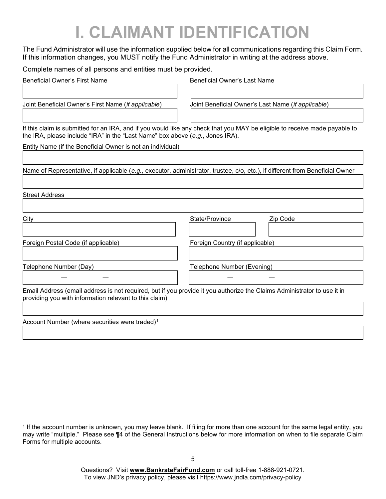# I. CLAIMANT IDENTIFICATION

The Fund Administrator will use the information supplied below for all communications regarding this Claim Form. If this information changes, you MUST notify the Fund Administrator in writing at the address above.

Complete names of all persons and entities must be provided.

| <b>Beneficial Owner's First Name</b>                                                                                                                                              | <b>Beneficial Owner's Last Name</b>                                                                                           |  |
|-----------------------------------------------------------------------------------------------------------------------------------------------------------------------------------|-------------------------------------------------------------------------------------------------------------------------------|--|
|                                                                                                                                                                                   |                                                                                                                               |  |
| Joint Beneficial Owner's First Name (if applicable)                                                                                                                               | Joint Beneficial Owner's Last Name (if applicable)                                                                            |  |
|                                                                                                                                                                                   |                                                                                                                               |  |
| the IRA, please include "IRA" in the "Last Name" box above (e.g., Jones IRA).                                                                                                     | If this claim is submitted for an IRA, and if you would like any check that you MAY be eligible to receive made payable to    |  |
| Entity Name (if the Beneficial Owner is not an individual)                                                                                                                        |                                                                                                                               |  |
|                                                                                                                                                                                   |                                                                                                                               |  |
|                                                                                                                                                                                   | Name of Representative, if applicable (e.g., executor, administrator, trustee, c/o, etc.), if different from Beneficial Owner |  |
|                                                                                                                                                                                   |                                                                                                                               |  |
| <b>Street Address</b>                                                                                                                                                             |                                                                                                                               |  |
|                                                                                                                                                                                   |                                                                                                                               |  |
| City                                                                                                                                                                              | State/Province<br>Zip Code                                                                                                    |  |
|                                                                                                                                                                                   |                                                                                                                               |  |
| Foreign Postal Code (if applicable)                                                                                                                                               | Foreign Country (if applicable)                                                                                               |  |
|                                                                                                                                                                                   |                                                                                                                               |  |
| Telephone Number (Day)                                                                                                                                                            | Telephone Number (Evening)                                                                                                    |  |
|                                                                                                                                                                                   |                                                                                                                               |  |
| Email Address (email address is not required, but if you provide it you authorize the Claims Administrator to use it in<br>providing you with information relevant to this claim) |                                                                                                                               |  |
|                                                                                                                                                                                   |                                                                                                                               |  |
| Account Number (where securities were traded) <sup>1</sup>                                                                                                                        |                                                                                                                               |  |

<sup>1</sup> If the account number is unknown, you may leave blank. If filing for more than one account for the same legal entity, you may write "multiple." Please see ¶4 of the General Instructions below for more information on when to file separate Claim Forms for multiple accounts.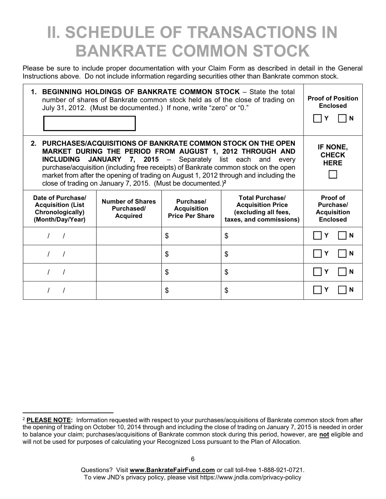### II. SCHEDULE OF TRANSACTIONS IN BANKRATE COMMON STOCK

Please be sure to include proper documentation with your Claim Form as described in detail in the General Instructions above. Do not include information regarding securities other than Bankrate common stock.

| 1. BEGINNING HOLDINGS OF BANKRATE COMMON STOCK - State the total<br>number of shares of Bankrate common stock held as of the close of trading on<br>July 31, 2012. (Must be documented.) If none, write "zero" or "0."                                                                                                                                                                                                                                  |                                                          |                                                           |                                                                                                       | <b>Proof of Position</b><br><b>Enclosed</b><br>N               |
|---------------------------------------------------------------------------------------------------------------------------------------------------------------------------------------------------------------------------------------------------------------------------------------------------------------------------------------------------------------------------------------------------------------------------------------------------------|----------------------------------------------------------|-----------------------------------------------------------|-------------------------------------------------------------------------------------------------------|----------------------------------------------------------------|
| 2. PURCHASES/ACQUISITIONS OF BANKRATE COMMON STOCK ON THE OPEN<br>MARKET DURING THE PERIOD FROM AUGUST 1, 2012 THROUGH AND<br>JANUARY 7, 2015 - Separately list each and<br><b>INCLUDING</b><br>every<br>purchase/acquisition (including free receipts) of Bankrate common stock on the open<br>market from after the opening of trading on August 1, 2012 through and including the<br>close of trading on January 7, 2015. (Must be documented.) $^2$ |                                                          |                                                           |                                                                                                       |                                                                |
|                                                                                                                                                                                                                                                                                                                                                                                                                                                         |                                                          |                                                           |                                                                                                       |                                                                |
| Date of Purchase/<br><b>Acquisition (List</b><br>Chronologically)<br>(Month/Day/Year)                                                                                                                                                                                                                                                                                                                                                                   | <b>Number of Shares</b><br>Purchased/<br><b>Acquired</b> | Purchase/<br><b>Acquisition</b><br><b>Price Per Share</b> | <b>Total Purchase/</b><br><b>Acquisition Price</b><br>(excluding all fees,<br>taxes, and commissions) | Proof of<br>Purchase/<br><b>Acquisition</b><br><b>Enclosed</b> |
|                                                                                                                                                                                                                                                                                                                                                                                                                                                         |                                                          | \$                                                        | \$                                                                                                    | N                                                              |
|                                                                                                                                                                                                                                                                                                                                                                                                                                                         |                                                          | \$                                                        | \$                                                                                                    | N                                                              |
|                                                                                                                                                                                                                                                                                                                                                                                                                                                         |                                                          | \$                                                        | \$                                                                                                    | N                                                              |

<sup>&</sup>lt;sup>2</sup> PLEASE NOTE: Information requested with respect to your purchases/acquisitions of Bankrate common stock from after the opening of trading on October 10, 2014 through and including the close of trading on January 7, 2015 is needed in order to balance your claim; purchases/acquisitions of Bankrate common stock during this period, however, are not eligible and will not be used for purposes of calculating your Recognized Loss pursuant to the Plan of Allocation.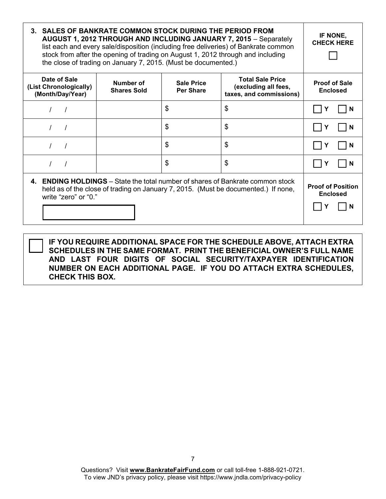| 3. SALES OF BANKRATE COMMON STOCK DURING THE PERIOD FROM<br><b>AUGUST 1, 2012 THROUGH AND INCLUDING JANUARY 7, 2015 - Separately</b><br>list each and every sale/disposition (including free deliveries) of Bankrate common<br>stock from after the opening of trading on August 1, 2012 through and including<br>the close of trading on January 7, 2015. (Must be documented.) |                                                  |                                       |                                                                            | IF NONE,<br><b>CHECK HERE</b>           |
|----------------------------------------------------------------------------------------------------------------------------------------------------------------------------------------------------------------------------------------------------------------------------------------------------------------------------------------------------------------------------------|--------------------------------------------------|---------------------------------------|----------------------------------------------------------------------------|-----------------------------------------|
| Date of Sale<br>(List Chronologically)<br>(Month/Day/Year)                                                                                                                                                                                                                                                                                                                       | Number of<br><b>Shares Sold</b>                  | <b>Sale Price</b><br><b>Per Share</b> | <b>Total Sale Price</b><br>(excluding all fees,<br>taxes, and commissions) | <b>Proof of Sale</b><br><b>Enclosed</b> |
|                                                                                                                                                                                                                                                                                                                                                                                  |                                                  | \$                                    | \$                                                                         | N                                       |
|                                                                                                                                                                                                                                                                                                                                                                                  |                                                  | \$                                    | \$                                                                         | N                                       |
|                                                                                                                                                                                                                                                                                                                                                                                  |                                                  | \$                                    | \$                                                                         | N                                       |
|                                                                                                                                                                                                                                                                                                                                                                                  |                                                  | \$                                    | \$                                                                         | N                                       |
| 4. ENDING HOLDINGS – State the total number of shares of Bankrate common stock<br>held as of the close of trading on January 7, 2015. (Must be documented.) If none,<br>write "zero" or "0."                                                                                                                                                                                     | <b>Proof of Position</b><br><b>Enclosed</b><br>N |                                       |                                                                            |                                         |

IF YOU REQUIRE ADDITIONAL SPACE FOR THE SCHEDULE ABOVE, ATTACH EXTRA SCHEDULES IN THE SAME FORMAT. PRINT THE BENEFICIAL OWNER'S FULL NAME AND LAST FOUR DIGITS OF SOCIAL SECURITY/TAXPAYER IDENTIFICATION NUMBER ON EACH ADDITIONAL PAGE. IF YOU DO ATTACH EXTRA SCHEDULES, CHECK THIS BOX.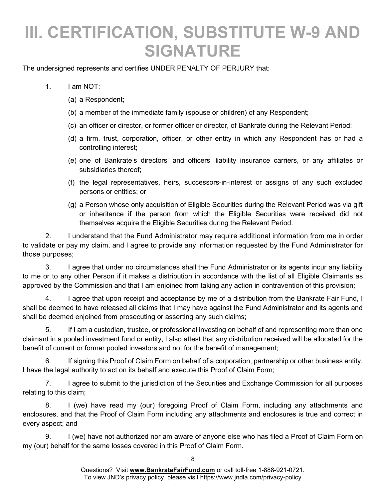### III. CERTIFICATION, SUBSTITUTE W-9 AND SIGNATURE

The undersigned represents and certifies UNDER PENALTY OF PERJURY that:

- 1. I am NOT:
	- (a) a Respondent;
	- (b) a member of the immediate family (spouse or children) of any Respondent;
	- (c) an officer or director, or former officer or director, of Bankrate during the Relevant Period;
	- (d) a firm, trust, corporation, officer, or other entity in which any Respondent has or had a controlling interest;
	- (e) one of Bankrate's directors' and officers' liability insurance carriers, or any affiliates or subsidiaries thereof;
	- (f) the legal representatives, heirs, successors-in-interest or assigns of any such excluded persons or entities; or
	- (g) a Person whose only acquisition of Eligible Securities during the Relevant Period was via gift or inheritance if the person from which the Eligible Securities were received did not themselves acquire the Eligible Securities during the Relevant Period.

2. I understand that the Fund Administrator may require additional information from me in order to validate or pay my claim, and I agree to provide any information requested by the Fund Administrator for those purposes;

3. I agree that under no circumstances shall the Fund Administrator or its agents incur any liability to me or to any other Person if it makes a distribution in accordance with the list of all Eligible Claimants as approved by the Commission and that I am enjoined from taking any action in contravention of this provision;

4. I agree that upon receipt and acceptance by me of a distribution from the Bankrate Fair Fund, I shall be deemed to have released all claims that I may have against the Fund Administrator and its agents and shall be deemed enjoined from prosecuting or asserting any such claims;

5. If I am a custodian, trustee, or professional investing on behalf of and representing more than one claimant in a pooled investment fund or entity, I also attest that any distribution received will be allocated for the benefit of current or former pooled investors and not for the benefit of management;

6. If signing this Proof of Claim Form on behalf of a corporation, partnership or other business entity, I have the legal authority to act on its behalf and execute this Proof of Claim Form;

7. I agree to submit to the jurisdiction of the Securities and Exchange Commission for all purposes relating to this claim;

8. I (we) have read my (our) foregoing Proof of Claim Form, including any attachments and enclosures, and that the Proof of Claim Form including any attachments and enclosures is true and correct in every aspect; and

9. I (we) have not authorized nor am aware of anyone else who has filed a Proof of Claim Form on my (our) behalf for the same losses covered in this Proof of Claim Form.

8

Questions? Visit www.BankrateFairFund.com or call toll-free 1-888-921-0721. To view JND's privacy policy, please visit https://www.jndla.com/privacy-policy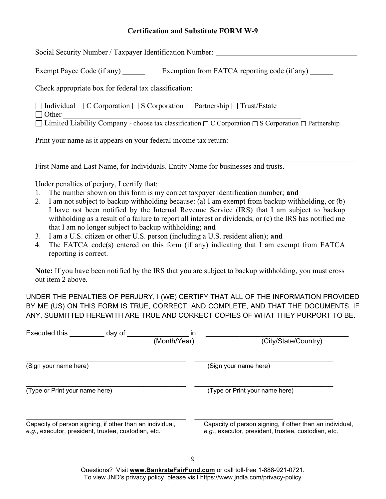#### Certification and Substitute FORM W-9

Social Security Number / Taxpayer Identification Number:

Exempt Payee Code (if any) Exemption from FATCA reporting code (if any)

Check appropriate box for federal tax classification:

 $\Box$  Individual  $\Box$  C Corporation  $\Box$  S Corporation  $\Box$  Partnership  $\Box$  Trust/Estate

Other \_\_\_\_\_\_\_\_\_\_\_\_\_\_\_\_\_\_\_\_\_\_\_\_\_\_\_\_\_\_\_\_\_\_\_\_\_\_\_\_\_\_\_\_\_\_\_\_\_\_\_\_\_\_\_\_\_\_\_\_\_\_\_

l

 $\Box$  Limited Liability Company - choose tax classification  $\Box$  C Corporation  $\Box$  S Corporation  $\Box$  Partnership

Print your name as it appears on your federal income tax return:

First Name and Last Name, for Individuals. Entity Name for businesses and trusts.

Under penalties of perjury, I certify that:

- 1. The number shown on this form is my correct taxpayer identification number; and
- 2. I am not subject to backup withholding because: (a) I am exempt from backup withholding, or (b) I have not been notified by the Internal Revenue Service (IRS) that I am subject to backup withholding as a result of a failure to report all interest or dividends, or (c) the IRS has notified me that I am no longer subject to backup withholding; and
- 3. I am a U.S. citizen or other U.S. person (including a U.S. resident alien); and
- 4. The FATCA code(s) entered on this form (if any) indicating that I am exempt from FATCA reporting is correct.

Note: If you have been notified by the IRS that you are subject to backup withholding, you must cross out item 2 above.

UNDER THE PENALTIES OF PERJURY, I (WE) CERTIFY THAT ALL OF THE INFORMATION PROVIDED BY ME (US) ON THIS FORM IS TRUE, CORRECT, AND COMPLETE, AND THAT THE DOCUMENTS, IF ANY, SUBMITTED HEREWITH ARE TRUE AND CORRECT COPIES OF WHAT THEY PURPORT TO BE.

| Executed this<br>day of                                                                                         | ın<br>(Month/Year)<br>(City/State/Country)                                                                      |
|-----------------------------------------------------------------------------------------------------------------|-----------------------------------------------------------------------------------------------------------------|
| (Sign your name here)                                                                                           | (Sign your name here)                                                                                           |
| (Type or Print your name here)                                                                                  | (Type or Print your name here)                                                                                  |
| Capacity of person signing, if other than an individual,<br>e.g., executor, president, trustee, custodian, etc. | Capacity of person signing, if other than an individual,<br>e.g., executor, president, trustee, custodian, etc. |

Questions? Visit www.BankrateFairFund.com or call toll-free 1-888-921-0721. To view JND's privacy policy, please visit https://www.jndla.com/privacy-policy